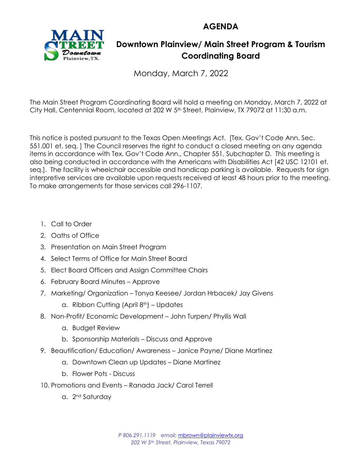**AGENDA**



## **Downtown Plainview/ Main Street Program & Tourism Coordinating Board**

Monday, March 7, 2022

The Main Street Program Coordinating Board will hold a meeting on Monday, March 7, 2022 at City Hall, Centennial Room, located at 202 W 5th Street, Plainview, TX 79072 at 11:30 a.m.

This notice is posted pursuant to the Texas Open Meetings Act. [Tex. Gov't Code Ann. Sec. 551.001 et. seq. ] The Council reserves the right to conduct a closed meeting on any agenda items in accordance with Tex. Gov't Code Ann., Chapter 551, Subchapter D. This meeting is also being conducted in accordance with the Americans with Disabilities Act [42 USC 12101 et. seq.]. The facility is wheelchair accessible and handicap parking is available. Requests for sign interpretive services are available upon requests received at least 48 hours prior to the meeting. To make arrangements for those services call 296-1107.

- 1. Call to Order
- 2. Oaths of Office
- 3. Presentation on Main Street Program
- 4. Select Terms of Office for Main Street Board
- 5. Elect Board Officers and Assign Committee Chairs
- 6. February Board Minutes Approve
- 7. Marketing/ Organization Tonya Keesee/ Jordan Hrbacek/ Jay Givens
	- a. Ribbon Cutting (April  $8<sup>th</sup>$ ) Updates
- 8. Non-Profit/ Economic Development John Turpen/ Phyllis Wall
	- a. Budget Review
	- b. Sponsorship Materials Discuss and Approve
- 9. Beautification/ Education/ Awareness Janice Payne/ Diane Martinez
	- a. Downtown Clean up Updates Diane Martinez
	- b. Flower Pots Discuss
- 10. Promotions and Events Ranada Jack/ Carol Terrell
	- a. 2<sup>nd</sup> Saturday